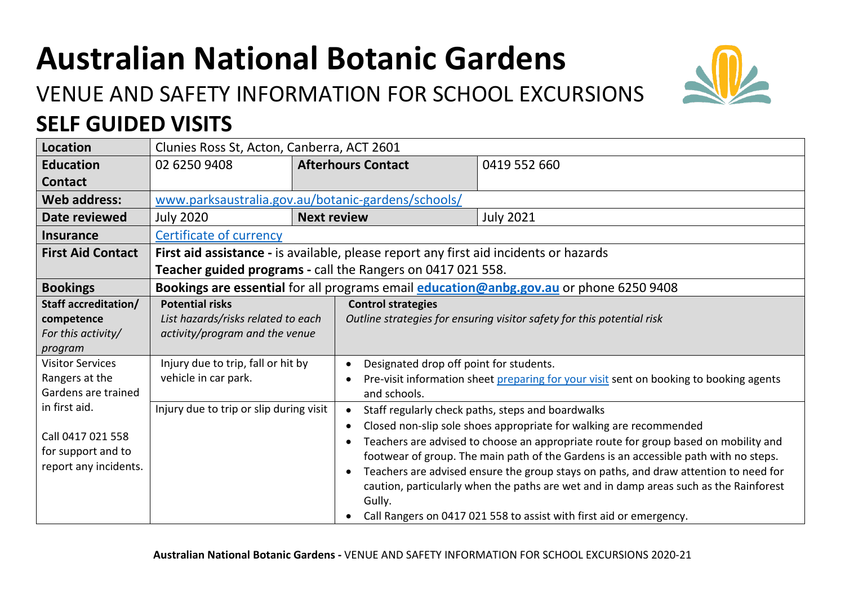## **Australian National Botanic Gardens**

## VENUE AND SAFETY INFORMATION FOR SCHOOL EXCURSIONS **SELF GUIDED VISITS**



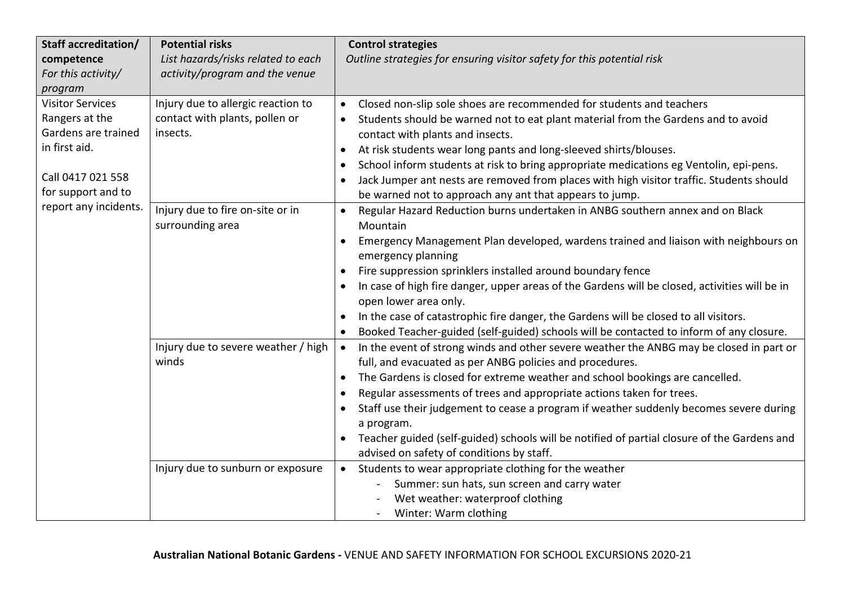| Staff accreditation/                                             | <b>Potential risks</b>                               | <b>Control strategies</b>                                                                                                                           |
|------------------------------------------------------------------|------------------------------------------------------|-----------------------------------------------------------------------------------------------------------------------------------------------------|
| competence                                                       | List hazards/risks related to each                   | Outline strategies for ensuring visitor safety for this potential risk                                                                              |
| For this activity/                                               | activity/program and the venue                       |                                                                                                                                                     |
| program                                                          |                                                      |                                                                                                                                                     |
| <b>Visitor Services</b>                                          | Injury due to allergic reaction to                   | Closed non-slip sole shoes are recommended for students and teachers<br>$\bullet$                                                                   |
| Rangers at the<br>Gardens are trained                            | contact with plants, pollen or<br>insects.           | Students should be warned not to eat plant material from the Gardens and to avoid<br>contact with plants and insects.                               |
| in first aid.                                                    |                                                      | At risk students wear long pants and long-sleeved shirts/blouses.<br>$\bullet$                                                                      |
|                                                                  |                                                      | School inform students at risk to bring appropriate medications eg Ventolin, epi-pens.<br>$\bullet$                                                 |
| Call 0417 021 558<br>for support and to<br>report any incidents. |                                                      | Jack Jumper ant nests are removed from places with high visitor traffic. Students should<br>be warned not to approach any ant that appears to jump. |
|                                                                  | Injury due to fire on-site or in<br>surrounding area | Regular Hazard Reduction burns undertaken in ANBG southern annex and on Black<br>$\bullet$<br>Mountain                                              |
|                                                                  |                                                      | Emergency Management Plan developed, wardens trained and liaison with neighbours on<br>$\bullet$<br>emergency planning                              |
|                                                                  |                                                      | Fire suppression sprinklers installed around boundary fence<br>$\bullet$                                                                            |
|                                                                  |                                                      | In case of high fire danger, upper areas of the Gardens will be closed, activities will be in                                                       |
|                                                                  |                                                      | open lower area only.                                                                                                                               |
|                                                                  |                                                      | In the case of catastrophic fire danger, the Gardens will be closed to all visitors.                                                                |
|                                                                  |                                                      | Booked Teacher-guided (self-guided) schools will be contacted to inform of any closure.                                                             |
|                                                                  | Injury due to severe weather / high                  | In the event of strong winds and other severe weather the ANBG may be closed in part or<br>$\bullet$                                                |
|                                                                  | winds                                                | full, and evacuated as per ANBG policies and procedures.                                                                                            |
|                                                                  |                                                      | The Gardens is closed for extreme weather and school bookings are cancelled.<br>$\bullet$                                                           |
|                                                                  |                                                      | Regular assessments of trees and appropriate actions taken for trees.                                                                               |
|                                                                  |                                                      | Staff use their judgement to cease a program if weather suddenly becomes severe during                                                              |
|                                                                  |                                                      | a program.                                                                                                                                          |
|                                                                  |                                                      | Teacher guided (self-guided) schools will be notified of partial closure of the Gardens and                                                         |
|                                                                  |                                                      | advised on safety of conditions by staff.                                                                                                           |
|                                                                  | Injury due to sunburn or exposure                    | Students to wear appropriate clothing for the weather<br>$\bullet$                                                                                  |
|                                                                  |                                                      | Summer: sun hats, sun screen and carry water                                                                                                        |
|                                                                  |                                                      | Wet weather: waterproof clothing                                                                                                                    |
|                                                                  |                                                      | Winter: Warm clothing<br>$\blacksquare$                                                                                                             |